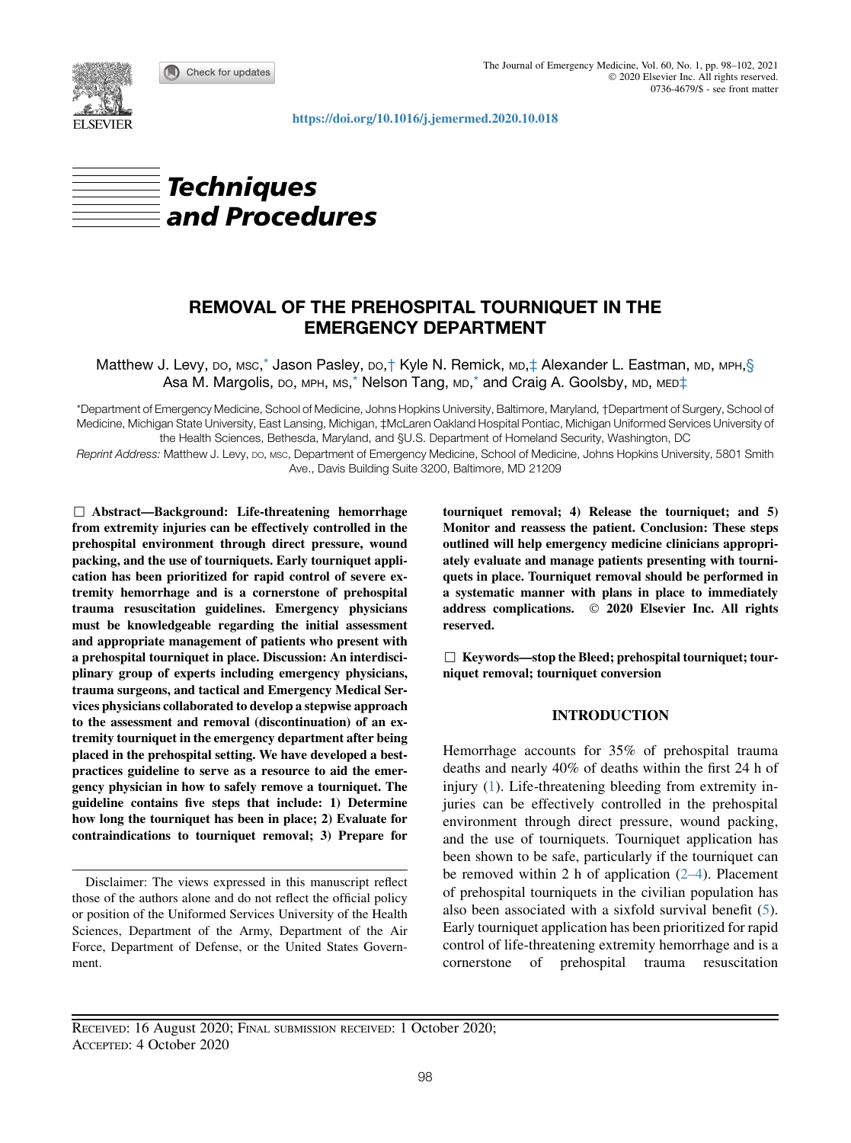Check for updates



<https://doi.org/10.1016/j.jemermed.2020.10.018>





# REMOVAL OF THE PREHOSPITAL TOURNIQUET IN THE EMERGENCY DEPARTMENT

Matthew J. Levy, Do, Msc,<sup>\*</sup> Jason Pasley, Do,† Kyle N. Remick, MD,‡ Alexander L. Eastman, MD, MPH,§ Asa M. Margolis, DO, MPH, MS,<sup>[\\*](#page-0-0)</sup> Nelson Tang, MD,<sup>\*</sup> and Craig A. Goolsby, MD, MED<sup>+</sup>

<span id="page-0-0"></span>\*Department of Emergency Medicine, School of Medicine, Johns Hopkins University, Baltimore, Maryland, †Department of Surgery, School of Medicine, Michigan State University, East Lansing, Michigan, ‡McLaren Oakland Hospital Pontiac, Michigan Uniformed Services University of the Health Sciences, Bethesda, Maryland, and §U.S. Department of Homeland Security, Washington, DC

Reprint Address: Matthew J. Levy, DO, MSC, Department of Emergency Medicine, School of Medicine, Johns Hopkins University, 5801 Smith Ave., Davis Building Suite 3200, Baltimore, MD 21209

 $\Box$  Abstract—Background: Life-threatening hemorrhage from extremity injuries can be effectively controlled in the prehospital environment through direct pressure, wound packing, and the use of tourniquets. Early tourniquet application has been prioritized for rapid control of severe extremity hemorrhage and is a cornerstone of prehospital trauma resuscitation guidelines. Emergency physicians must be knowledgeable regarding the initial assessment and appropriate management of patients who present with a prehospital tourniquet in place. Discussion: An interdisciplinary group of experts including emergency physicians, trauma surgeons, and tactical and Emergency Medical Services physicians collaborated to develop a stepwise approach to the assessment and removal (discontinuation) of an extremity tourniquet in the emergency department after being placed in the prehospital setting. We have developed a bestpractices guideline to serve as a resource to aid the emergency physician in how to safely remove a tourniquet. The guideline contains five steps that include: 1) Determine how long the tourniquet has been in place; 2) Evaluate for contraindications to tourniquet removal; 3) Prepare for

Disclaimer: The views expressed in this manuscript reflect those of the authors alone and do not reflect the official policy or position of the Uniformed Services University of the Health Sciences, Department of the Army, Department of the Air Force, Department of Defense, or the United States Government.

tourniquet removal; 4) Release the tourniquet; and 5) Monitor and reassess the patient. Conclusion: These steps outlined will help emergency medicine clinicians appropriately evaluate and manage patients presenting with tourniquets in place. Tourniquet removal should be performed in a systematic manner with plans in place to immediately address complications.  $\circ$  2020 Elsevier Inc. All rights reserved.

 $\Box$  Keywords—stop the Bleed; prehospital tourniquet; tourniquet removal; tourniquet conversion

## INTRODUCTION

Hemorrhage accounts for 35% of prehospital trauma deaths and nearly 40% of deaths within the first 24 h of injury ([1\)](#page-3-0). Life-threatening bleeding from extremity injuries can be effectively controlled in the prehospital environment through direct pressure, wound packing, and the use of tourniquets. Tourniquet application has been shown to be safe, particularly if the tourniquet can be removed within 2 h of application  $(2-4)$ . Placement of prehospital tourniquets in the civilian population has also been associated with a sixfold survival benefit [\(5](#page-3-2)). Early tourniquet application has been prioritized for rapid control of life-threatening extremity hemorrhage and is a cornerstone of prehospital trauma resuscitation

RECEIVED: 16 August 2020; FINAL SUBMISSION RECEIVED: 1 October 2020; ACCEPTED: 4 October 2020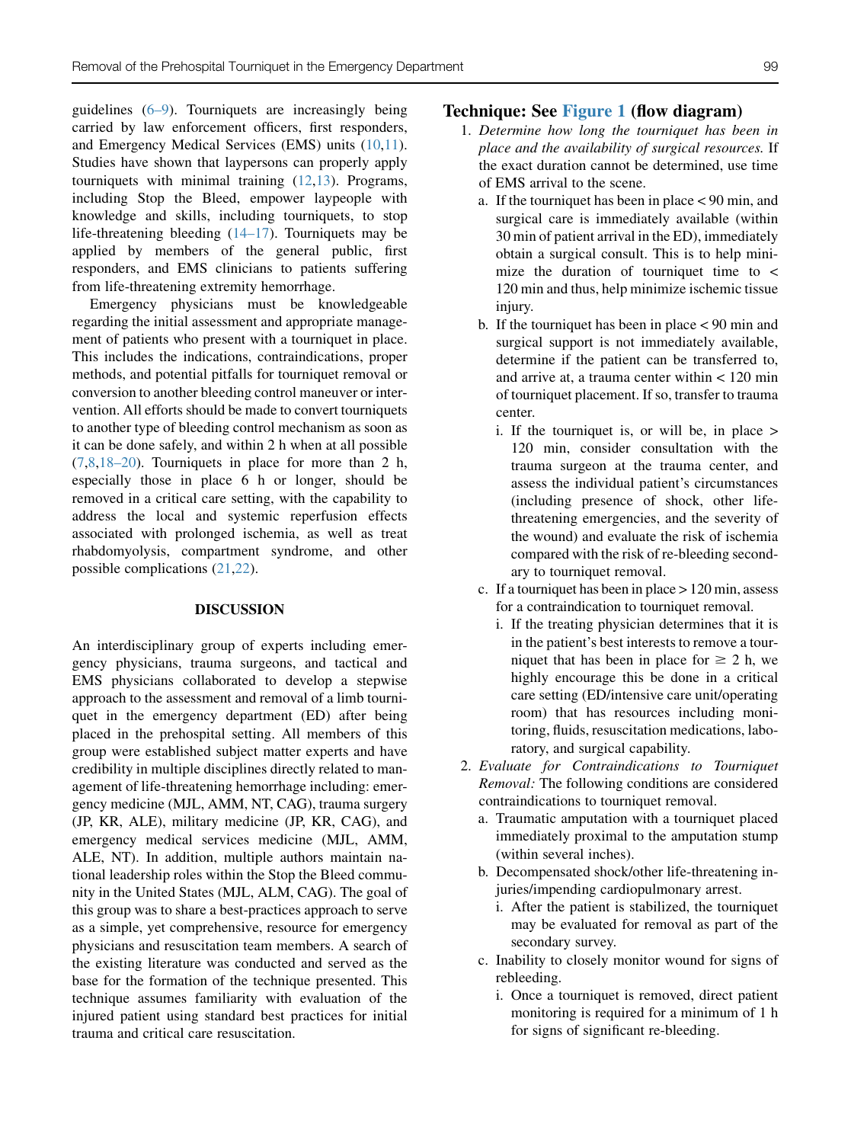guidelines ([6–9\)](#page-3-3). Tourniquets are increasingly being carried by law enforcement officers, first responders, and Emergency Medical Services (EMS) units ([10,](#page-3-4)[11](#page-3-5)). Studies have shown that laypersons can properly apply tourniquets with minimal training ([12,](#page-3-6)[13\)](#page-4-0). Programs, including Stop the Bleed, empower laypeople with knowledge and skills, including tourniquets, to stop life-threatening bleeding ([14–17](#page-4-1)). Tourniquets may be applied by members of the general public, first responders, and EMS clinicians to patients suffering from life-threatening extremity hemorrhage.

Emergency physicians must be knowledgeable regarding the initial assessment and appropriate management of patients who present with a tourniquet in place. This includes the indications, contraindications, proper methods, and potential pitfalls for tourniquet removal or conversion to another bleeding control maneuver or intervention. All efforts should be made to convert tourniquets to another type of bleeding control mechanism as soon as it can be done safely, and within 2 h when at all possible [\(7](#page-3-7),[8,](#page-3-8)[18–20](#page-4-2)). Tourniquets in place for more than 2 h, especially those in place 6 h or longer, should be removed in a critical care setting, with the capability to address the local and systemic reperfusion effects associated with prolonged ischemia, as well as treat rhabdomyolysis, compartment syndrome, and other possible complications ([21](#page-4-3)[,22](#page-4-4)).

#### DISCUSSION

An interdisciplinary group of experts including emergency physicians, trauma surgeons, and tactical and EMS physicians collaborated to develop a stepwise approach to the assessment and removal of a limb tourniquet in the emergency department (ED) after being placed in the prehospital setting. All members of this group were established subject matter experts and have credibility in multiple disciplines directly related to management of life-threatening hemorrhage including: emergency medicine (MJL, AMM, NT, CAG), trauma surgery (JP, KR, ALE), military medicine (JP, KR, CAG), and emergency medical services medicine (MJL, AMM, ALE, NT). In addition, multiple authors maintain national leadership roles within the Stop the Bleed community in the United States (MJL, ALM, CAG). The goal of this group was to share a best-practices approach to serve as a simple, yet comprehensive, resource for emergency physicians and resuscitation team members. A search of the existing literature was conducted and served as the base for the formation of the technique presented. This technique assumes familiarity with evaluation of the injured patient using standard best practices for initial trauma and critical care resuscitation.

## Technique: See [Figure 1](#page-2-0) (flow diagram)

- 1. Determine how long the tourniquet has been in place and the availability of surgical resources. If the exact duration cannot be determined, use time of EMS arrival to the scene.
	- a. If the tourniquet has been in place < 90 min, and surgical care is immediately available (within 30 min of patient arrival in the ED), immediately obtain a surgical consult. This is to help minimize the duration of tourniquet time to < 120 min and thus, help minimize ischemic tissue injury.
	- b. If the tourniquet has been in place < 90 min and surgical support is not immediately available, determine if the patient can be transferred to, and arrive at, a trauma center within < 120 min of tourniquet placement. If so, transfer to trauma center.
		- i. If the tourniquet is, or will be, in place > 120 min, consider consultation with the trauma surgeon at the trauma center, and assess the individual patient's circumstances (including presence of shock, other lifethreatening emergencies, and the severity of the wound) and evaluate the risk of ischemia compared with the risk of re-bleeding secondary to tourniquet removal.
	- c. If a tourniquet has been in place  $> 120$  min, assess for a contraindication to tourniquet removal.
		- i. If the treating physician determines that it is in the patient's best interests to remove a tourniquet that has been in place for  $\geq 2$  h, we highly encourage this be done in a critical care setting (ED/intensive care unit/operating room) that has resources including monitoring, fluids, resuscitation medications, laboratory, and surgical capability.
- 2. Evaluate for Contraindications to Tourniquet Removal: The following conditions are considered contraindications to tourniquet removal.
	- a. Traumatic amputation with a tourniquet placed immediately proximal to the amputation stump (within several inches).
	- b. Decompensated shock/other life-threatening injuries/impending cardiopulmonary arrest.
		- i. After the patient is stabilized, the tourniquet may be evaluated for removal as part of the secondary survey.
	- c. Inability to closely monitor wound for signs of rebleeding.
		- i. Once a tourniquet is removed, direct patient monitoring is required for a minimum of 1 h for signs of significant re-bleeding.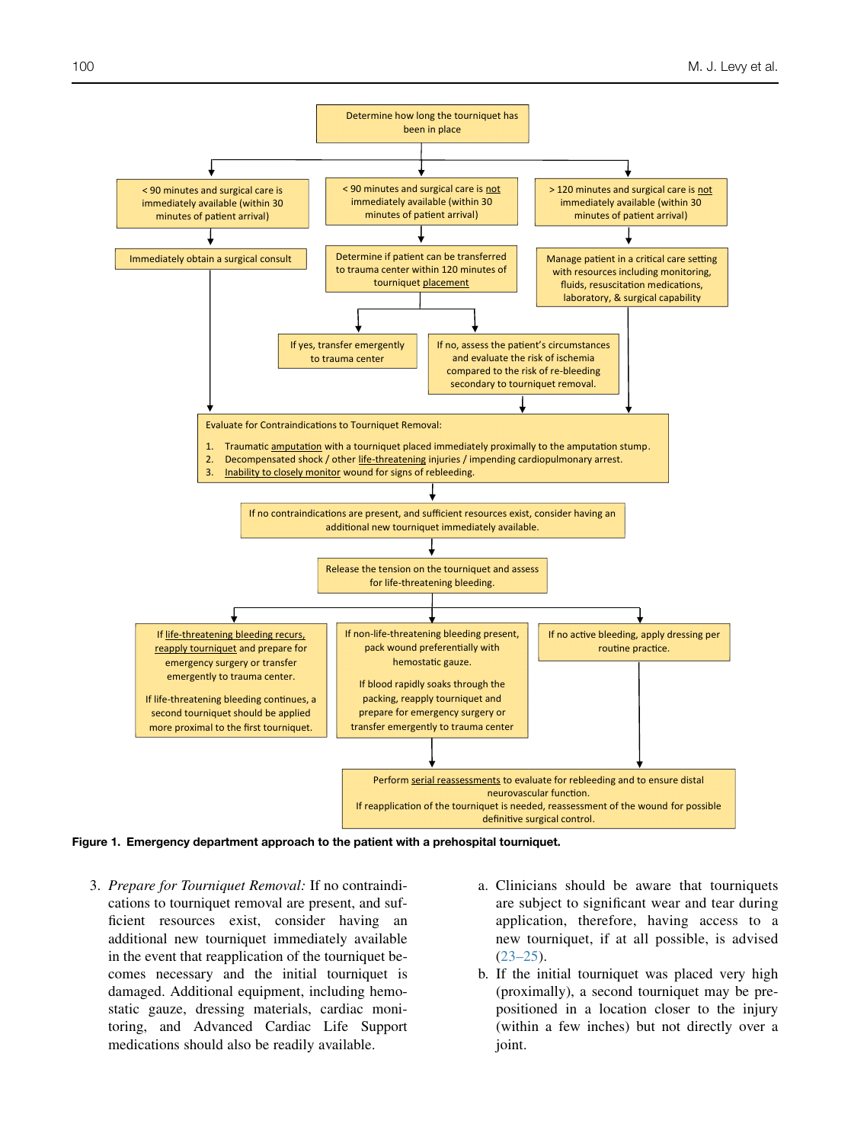<span id="page-2-0"></span>

Figure 1. Emergency department approach to the patient with a prehospital tourniquet.

- 3. Prepare for Tourniquet Removal: If no contraindications to tourniquet removal are present, and sufficient resources exist, consider having an additional new tourniquet immediately available in the event that reapplication of the tourniquet becomes necessary and the initial tourniquet is damaged. Additional equipment, including hemostatic gauze, dressing materials, cardiac monitoring, and Advanced Cardiac Life Support medications should also be readily available.
- a. Clinicians should be aware that tourniquets are subject to significant wear and tear during application, therefore, having access to a new tourniquet, if at all possible, is advised  $(23-25)$ .
- b. If the initial tourniquet was placed very high (proximally), a second tourniquet may be prepositioned in a location closer to the injury (within a few inches) but not directly over a joint.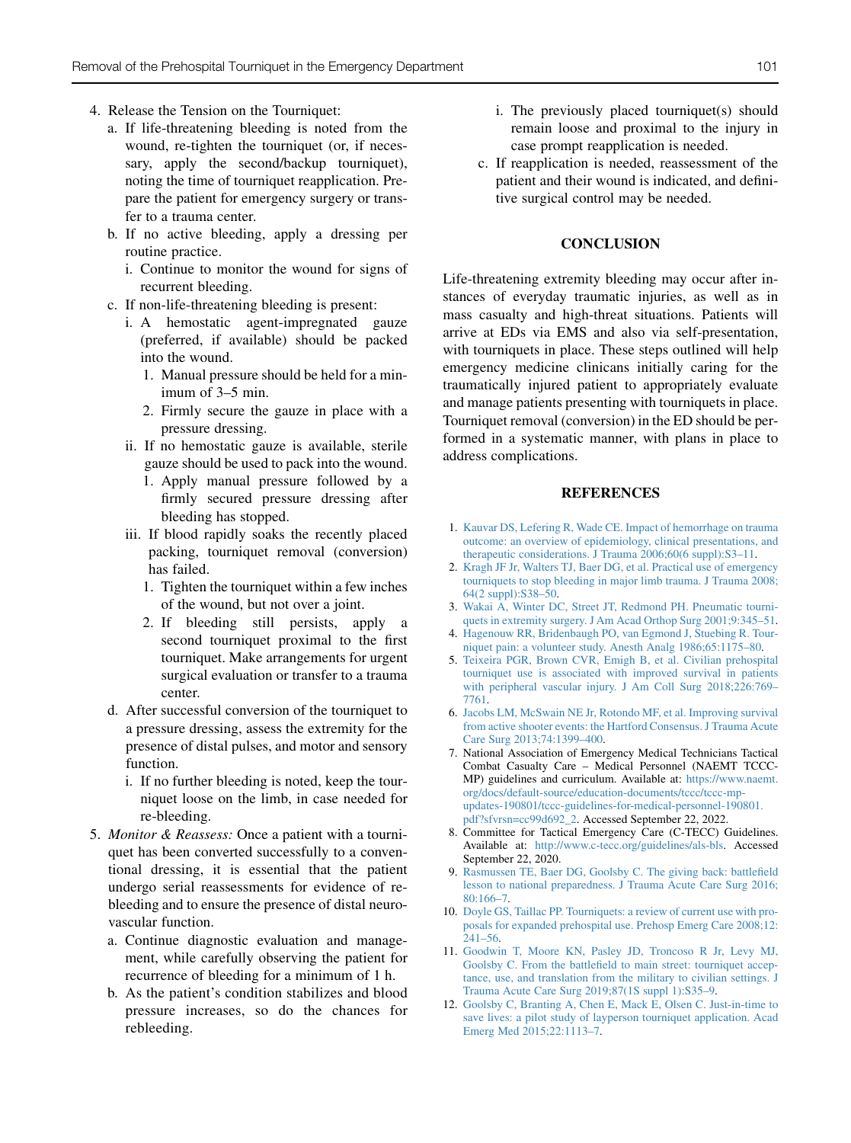- 4. Release the Tension on the Tourniquet:
	- a. If life-threatening bleeding is noted from the wound, re-tighten the tourniquet (or, if necessary, apply the second/backup tourniquet), noting the time of tourniquet reapplication. Prepare the patient for emergency surgery or transfer to a trauma center.
	- b. If no active bleeding, apply a dressing per routine practice.
		- i. Continue to monitor the wound for signs of recurrent bleeding.
	- c. If non-life-threatening bleeding is present:
		- i. A hemostatic agent-impregnated gauze (preferred, if available) should be packed into the wound.
			- 1. Manual pressure should be held for a minimum of 3–5 min.
			- 2. Firmly secure the gauze in place with a pressure dressing.
		- ii. If no hemostatic gauze is available, sterile gauze should be used to pack into the wound.
			- 1. Apply manual pressure followed by a firmly secured pressure dressing after bleeding has stopped.
		- iii. If blood rapidly soaks the recently placed packing, tourniquet removal (conversion) has failed.
			- 1. Tighten the tourniquet within a few inches of the wound, but not over a joint.
			- 2. If bleeding still persists, apply a second tourniquet proximal to the first tourniquet. Make arrangements for urgent surgical evaluation or transfer to a trauma center.
	- d. After successful conversion of the tourniquet to a pressure dressing, assess the extremity for the presence of distal pulses, and motor and sensory function.
		- i. If no further bleeding is noted, keep the tourniquet loose on the limb, in case needed for re-bleeding.
- 5. Monitor & Reassess: Once a patient with a tourniquet has been converted successfully to a conventional dressing, it is essential that the patient undergo serial reassessments for evidence of rebleeding and to ensure the presence of distal neurovascular function.
	- a. Continue diagnostic evaluation and management, while carefully observing the patient for recurrence of bleeding for a minimum of 1 h.
	- b. As the patient's condition stabilizes and blood pressure increases, so do the chances for rebleeding.
- i. The previously placed tourniquet(s) should remain loose and proximal to the injury in case prompt reapplication is needed.
- c. If reapplication is needed, reassessment of the patient and their wound is indicated, and definitive surgical control may be needed.

#### **CONCLUSION**

Life-threatening extremity bleeding may occur after instances of everyday traumatic injuries, as well as in mass casualty and high-threat situations. Patients will arrive at EDs via EMS and also via self-presentation, with tourniquets in place. These steps outlined will help emergency medicine clinicans initially caring for the traumatically injured patient to appropriately evaluate and manage patients presenting with tourniquets in place. Tourniquet removal (conversion) in the ED should be performed in a systematic manner, with plans in place to address complications.

### **REFERENCES**

- <span id="page-3-0"></span>1. [Kauvar DS, Lefering R, Wade CE. Impact of hemorrhage on trauma](http://refhub.elsevier.com/S0736-4679(20)31062-3/sref1) [outcome: an overview of epidemiology, clinical presentations, and](http://refhub.elsevier.com/S0736-4679(20)31062-3/sref1) [therapeutic considerations. J Trauma 2006;60\(6 suppl\):S3–11](http://refhub.elsevier.com/S0736-4679(20)31062-3/sref1).
- <span id="page-3-1"></span>2. [Kragh JF Jr, Walters TJ, Baer DG, et al. Practical use of emergency](http://refhub.elsevier.com/S0736-4679(20)31062-3/sref2) [tourniquets to stop bleeding in major limb trauma. J Trauma 2008;](http://refhub.elsevier.com/S0736-4679(20)31062-3/sref2) [64\(2 suppl\):S38–50.](http://refhub.elsevier.com/S0736-4679(20)31062-3/sref2)
- 3. [Wakai A, Winter DC, Street JT, Redmond PH. Pneumatic tourni](http://refhub.elsevier.com/S0736-4679(20)31062-3/sref3)[quets in extremity surgery. J Am Acad Orthop Surg 2001;9:345–51](http://refhub.elsevier.com/S0736-4679(20)31062-3/sref3).
- 4. [Hagenouw RR, Bridenbaugh PO, van Egmond J, Stuebing R. Tour](http://refhub.elsevier.com/S0736-4679(20)31062-3/sref4)[niquet pain: a volunteer study. Anesth Analg 1986;65:1175–80.](http://refhub.elsevier.com/S0736-4679(20)31062-3/sref4)
- <span id="page-3-2"></span>5. [Teixeira PGR, Brown CVR, Emigh B, et al. Civilian prehospital](http://refhub.elsevier.com/S0736-4679(20)31062-3/sref5) [tourniquet use is associated with improved survival in patients](http://refhub.elsevier.com/S0736-4679(20)31062-3/sref5) [with peripheral vascular injury. J Am Coll Surg 2018;226:769–](http://refhub.elsevier.com/S0736-4679(20)31062-3/sref5) [7761.](http://refhub.elsevier.com/S0736-4679(20)31062-3/sref5)
- <span id="page-3-3"></span>6. [Jacobs LM, McSwain NE Jr, Rotondo MF, et al. Improving survival](http://refhub.elsevier.com/S0736-4679(20)31062-3/sref6) [from active shooter events: the Hartford Consensus. J Trauma Acute](http://refhub.elsevier.com/S0736-4679(20)31062-3/sref6) [Care Surg 2013;74:1399–400](http://refhub.elsevier.com/S0736-4679(20)31062-3/sref6).
- <span id="page-3-7"></span>7. National Association of Emergency Medical Technicians Tactical Combat Casualty Care – Medical Personnel (NAEMT TCCC-MP) guidelines and curriculum. Available at: [https://www.naemt.](https://www.naemt.org/docs/default-source/education-documents/tccc/tccc-mp-updates-190801/tccc-guidelines-for-medical-personnel-190801.pdf?sfvrsn=cc99d692_2) [org/docs/default-source/education-documents/tccc/tccc-mp](https://www.naemt.org/docs/default-source/education-documents/tccc/tccc-mp-updates-190801/tccc-guidelines-for-medical-personnel-190801.pdf?sfvrsn=cc99d692_2)[updates-190801/tccc-guidelines-for-medical-personnel-190801.](https://www.naemt.org/docs/default-source/education-documents/tccc/tccc-mp-updates-190801/tccc-guidelines-for-medical-personnel-190801.pdf?sfvrsn=cc99d692_2) [pdf?sfvrsn=cc99d692\\_2.](https://www.naemt.org/docs/default-source/education-documents/tccc/tccc-mp-updates-190801/tccc-guidelines-for-medical-personnel-190801.pdf?sfvrsn=cc99d692_2) Accessed September 22, 2022.
- <span id="page-3-8"></span>8. Committee for Tactical Emergency Care (C-TECC) Guidelines. Available at: [http://www.c-tecc.org/guidelines/als-bls.](http://www.c-tecc.org/guidelines/als-bls) Accessed September 22, 2020.
- 9. [Rasmussen TE, Baer DG, Goolsby C. The giving back: battlefield](http://refhub.elsevier.com/S0736-4679(20)31062-3/sref9) [lesson to national preparedness. J Trauma Acute Care Surg 2016;](http://refhub.elsevier.com/S0736-4679(20)31062-3/sref9) [80:166–7.](http://refhub.elsevier.com/S0736-4679(20)31062-3/sref9)
- <span id="page-3-4"></span>10. [Doyle GS, Taillac PP. Tourniquets: a review of current use with pro](http://refhub.elsevier.com/S0736-4679(20)31062-3/sref10)[posals for expanded prehospital use. Prehosp Emerg Care 2008;12:](http://refhub.elsevier.com/S0736-4679(20)31062-3/sref10) [241–56](http://refhub.elsevier.com/S0736-4679(20)31062-3/sref10).
- <span id="page-3-5"></span>11. [Goodwin T, Moore KN, Pasley JD, Troncoso R Jr, Levy MJ,](http://refhub.elsevier.com/S0736-4679(20)31062-3/sref11) [Goolsby C. From the battlefield to main street: tourniquet accep](http://refhub.elsevier.com/S0736-4679(20)31062-3/sref11)[tance, use, and translation from the military to civilian settings. J](http://refhub.elsevier.com/S0736-4679(20)31062-3/sref11) [Trauma Acute Care Surg 2019;87\(1S suppl 1\):S35–9](http://refhub.elsevier.com/S0736-4679(20)31062-3/sref11).
- <span id="page-3-6"></span>12. [Goolsby C, Branting A, Chen E, Mack E, Olsen C. Just-in-time to](http://refhub.elsevier.com/S0736-4679(20)31062-3/sref12) [save lives: a pilot study of layperson tourniquet application. Acad](http://refhub.elsevier.com/S0736-4679(20)31062-3/sref12) [Emerg Med 2015;22:1113–7](http://refhub.elsevier.com/S0736-4679(20)31062-3/sref12).